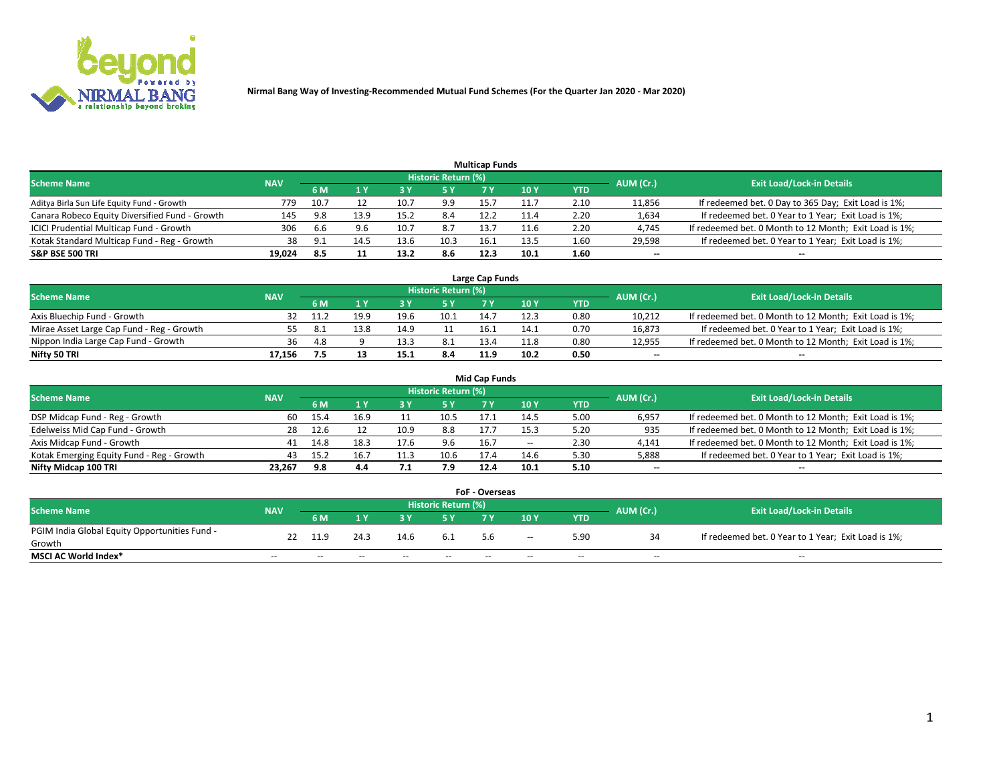

|                                                |            |       |      |      |                     | <b>Multicap Funds</b> |      |      |           |                                                        |
|------------------------------------------------|------------|-------|------|------|---------------------|-----------------------|------|------|-----------|--------------------------------------------------------|
| <b>Scheme Name</b>                             | <b>NAV</b> |       |      |      | Historic Return (%) |                       |      |      | AUM (Cr.) | <b>Exit Load/Lock-in Details</b>                       |
|                                                |            | 6 M   |      |      | 5 Y                 |                       | 10Y  | YTD  |           |                                                        |
| Aditya Birla Sun Life Equity Fund - Growth     | 779        | 10.7  |      | 10.7 | 9.9                 | 15.7                  |      | 2.10 | 11,856    | If redeemed bet. 0 Day to 365 Day; Exit Load is 1%;    |
| Canara Robeco Equity Diversified Fund - Growth | 145        | 9.8   | 13.9 | 15.2 | 8.4                 | 12.2                  | 11.4 | 2.20 | 1,634     | If redeemed bet. 0 Year to 1 Year; Exit Load is 1%;    |
| ICICI Prudential Multicap Fund - Growth        | 306        | 6.6   | 9.6  | 10.7 | 8.7                 | 13.7                  | 11.6 | 2.20 | 4,745     | If redeemed bet. 0 Month to 12 Month; Exit Load is 1%; |
| Kotak Standard Multicap Fund - Reg - Growth    | 38         | - Q 1 | 14.5 | 13.6 | 10.3                | 16.1                  | 13.5 | 1.60 | 29,598    | If redeemed bet. 0 Year to 1 Year; Exit Load is 1%;    |
| <b>S&amp;P BSE 500 TRI</b>                     | 19.024     | 8.5   |      | 13.2 | 8.6                 | 12.3                  | 10.1 | 1.60 | $\sim$    | $-$                                                    |

| Large Cap Funds                           |            |      |      |      |                     |      |      |      |           |                                                        |  |  |  |  |
|-------------------------------------------|------------|------|------|------|---------------------|------|------|------|-----------|--------------------------------------------------------|--|--|--|--|
| Scheme Name                               | <b>NAV</b> |      |      |      | Historic Return (%) |      |      |      | AUM (Cr.) | <b>Exit Load/Lock-in Details</b>                       |  |  |  |  |
|                                           |            | 6 M  |      |      | 5 Y                 |      | 10Y  | YTD  |           |                                                        |  |  |  |  |
| Axis Bluechip Fund - Growth               |            | 11.2 | 19.9 | 19.6 | 10.1                | 14.  |      | 0.80 | 10,212    | If redeemed bet. 0 Month to 12 Month; Exit Load is 1%; |  |  |  |  |
| Mirae Asset Large Cap Fund - Reg - Growth | 55.        |      | 13.8 | 14.9 |                     | 16.⊥ | 14.1 | 0.70 | 16,873    | If redeemed bet. 0 Year to 1 Year; Exit Load is 1%;    |  |  |  |  |
| Nippon India Large Cap Fund - Growth      | 36         | -4.8 |      |      | 8.1                 | 13.4 | 11.8 | 0.80 | 12,955    | If redeemed bet. 0 Month to 12 Month; Exit Load is 1%; |  |  |  |  |
| Nifty 50 TRI                              | 17.156     |      | 13   | 15.1 | 8.4                 | 11.9 | 10.2 | 0.50 | $\sim$    | $\sim$                                                 |  |  |  |  |

|                                           |            |      |      |      |                     | <b>Mid Cap Funds</b> |        |            |           |                                                        |
|-------------------------------------------|------------|------|------|------|---------------------|----------------------|--------|------------|-----------|--------------------------------------------------------|
| <b>Scheme Name</b>                        | <b>NAV</b> |      |      |      | Historic Return (%) |                      |        |            | AUM (Cr.) | <b>Exit Load/Lock-in Details</b>                       |
|                                           |            | 6 M  |      |      |                     |                      | 10Y    | <b>YTD</b> |           |                                                        |
| DSP Midcap Fund - Reg - Growth            | 60         | 15.4 | 16.9 |      | 10.5                | 17.1                 | 14.5   | 5.00       | 6,957     | If redeemed bet. 0 Month to 12 Month; Exit Load is 1%; |
| Edelweiss Mid Cap Fund - Growth           | 28         | 12.6 |      | 10.9 | 8.8                 | 17.7                 | 15.3   | 5.20       | 935       | If redeemed bet. 0 Month to 12 Month; Exit Load is 1%; |
| Axis Midcap Fund - Growth                 | 41         | 14.8 | 18.3 | 17.6 | 9.6                 | 16.7                 | $\sim$ | 2.30       | 4,141     | If redeemed bet. 0 Month to 12 Month; Exit Load is 1%; |
| Kotak Emerging Equity Fund - Reg - Growth | 43         | 15.2 | 16.7 | 11.3 | 10.6                | 17.4                 | 14.6   | 5.30       | 5,888     | If redeemed bet. 0 Year to 1 Year; Exit Load is 1%;    |
| Nifty Midcap 100 TRI                      | 23.267     | 9.8  | 4.4  |      | 7.9                 | 12.4                 | 10.1   | 5.10       | $\sim$    |                                                        |

| <b>FoF - Overseas</b>                         |            |                                                                             |       |       |       |     |        |            |       |                                                     |  |  |  |
|-----------------------------------------------|------------|-----------------------------------------------------------------------------|-------|-------|-------|-----|--------|------------|-------|-----------------------------------------------------|--|--|--|
| <b>Scheme Name</b>                            | <b>NAV</b> | <b>Historic Return (%)</b><br><b>Exit Load/Lock-in Details</b><br>AUM (Cr.) |       |       |       |     |        |            |       |                                                     |  |  |  |
|                                               |            | <b>6M</b>                                                                   |       |       |       | 7 V | 10Y    | <b>YTD</b> |       |                                                     |  |  |  |
| PGIM India Global Equity Opportunities Fund - |            |                                                                             | 24.3  | 14.6  | 6.1   | 5.6 | $\sim$ | 5.90       |       | If redeemed bet. 0 Year to 1 Year; Exit Load is 1%; |  |  |  |
| Growth                                        |            |                                                                             |       |       |       |     |        |            |       |                                                     |  |  |  |
| <b>MSCI AC World Index*</b>                   | $- -$      | $- -$                                                                       | $- -$ | $- -$ | $- -$ |     | $- -$  | $- -$      | $- -$ | $- -$                                               |  |  |  |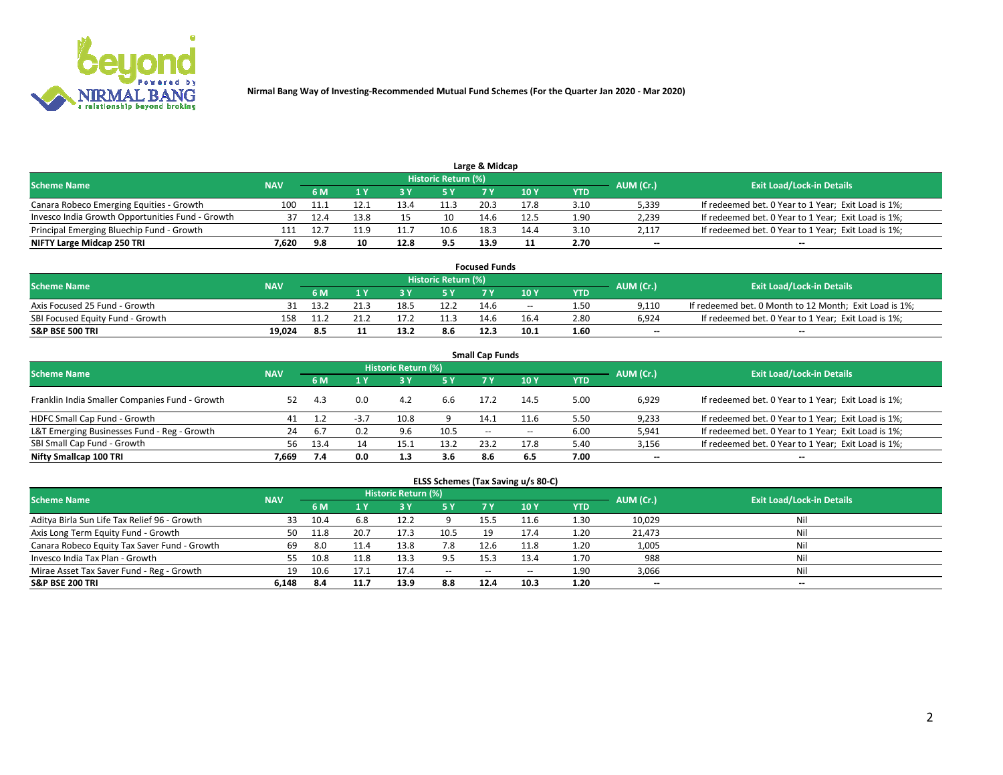

|                                                  |            |      |      |      |                     | Large & Midcap |      |      |           |                                                     |
|--------------------------------------------------|------------|------|------|------|---------------------|----------------|------|------|-----------|-----------------------------------------------------|
| <b>Scheme Name</b>                               | <b>NAV</b> |      |      |      | Historic Return (%) |                |      |      | AUM (Cr.) | <b>Exit Load/Lock-in Details</b>                    |
|                                                  |            | 6 M  |      |      | 5 Y                 |                | 10Y  | YTD  |           |                                                     |
| Canara Robeco Emerging Equities - Growth         | 100        | 11.1 |      |      | 11.3                | 20.3           | 17.8 | 3.10 | 5,339     | If redeemed bet. 0 Year to 1 Year; Exit Load is 1%; |
| Invesco India Growth Opportunities Fund - Growth |            |      | 13.8 |      | 10                  | 14.6           | 12.5 | 1.90 | 2,239     | If redeemed bet. 0 Year to 1 Year; Exit Load is 1%; |
| Principal Emerging Bluechip Fund - Growth        | 111        |      |      |      | 10.6                | 18.3           | 14.4 | 3.10 | 2,117     | If redeemed bet. 0 Year to 1 Year; Exit Load is 1%; |
| NIFTY Large Midcap 250 TRI                       | 7.620      | 9.8  | 10   | 12.8 | 9.5                 | 13.9           |      | 2.70 | $\sim$    | $-$                                                 |

| <b>Focused Funds</b>             |            |            |  |      |                     |      |       |      |           |                                                        |  |  |  |
|----------------------------------|------------|------------|--|------|---------------------|------|-------|------|-----------|--------------------------------------------------------|--|--|--|
| <b>Scheme Name</b>               | <b>NAV</b> |            |  |      | Historic Return (%) |      |       |      |           | <b>Exit Load/Lock-in Details</b>                       |  |  |  |
|                                  |            | <b>6 M</b> |  |      |                     |      | 10 Y  | YTD  | AUM (Cr.) |                                                        |  |  |  |
| Axis Focused 25 Fund - Growth    |            | 13.        |  |      | 12.2                | 14.6 | $- -$ | 1.50 | 9.110     | If redeemed bet. 0 Month to 12 Month; Exit Load is 1%; |  |  |  |
| SBI Focused Equity Fund - Growth | 158        |            |  |      |                     | 14.6 | 16.4  | 2.80 | 6.924     | If redeemed bet. 0 Year to 1 Year; Exit Load is 1%;    |  |  |  |
| <b>S&amp;P BSE 500 TRI</b>       | 19.024     |            |  | 13.3 | 8.6                 | 12.3 | 10.1  | 1.60 | $\sim$    | $- -$                                                  |  |  |  |

|                                                |            |      |        |                     |      | <b>Small Cap Funds</b> |        |      |           |                                                     |
|------------------------------------------------|------------|------|--------|---------------------|------|------------------------|--------|------|-----------|-----------------------------------------------------|
| <b>Scheme Name</b>                             | <b>NAV</b> |      |        | Historic Return (%) |      |                        |        |      | AUM (Cr.) | <b>Exit Load/Lock-in Details</b>                    |
|                                                |            | 6 M  |        | 3Y                  | 5 Y  | 7 Y                    | 10Y    | YTD  |           |                                                     |
| Franklin India Smaller Companies Fund - Growth | 52         | 4.3  | 0.0    | 4.2                 | 6.6  | 17.2                   | 14.5   | 5.00 | 6,929     | If redeemed bet. 0 Year to 1 Year; Exit Load is 1%; |
| HDFC Small Cap Fund - Growth                   | 41         |      | $-3.7$ | 10.8                |      | 14.1                   | 11.6   | 5.50 | 9,233     | If redeemed bet. 0 Year to 1 Year; Exit Load is 1%; |
| L&T Emerging Businesses Fund - Reg - Growth    | 24         | -6.7 | 0.2    | 9.6                 | 10.5 | $\sim$                 | $\sim$ | 6.00 | 5,941     | If redeemed bet. 0 Year to 1 Year; Exit Load is 1%; |
| SBI Small Cap Fund - Growth                    | 56         | 13.4 |        | 15.1                | 13.2 | 23.2                   | 17.8   | 5.40 | 3,156     | If redeemed bet. 0 Year to 1 Year; Exit Load is 1%; |
| Nifty Smallcap 100 TRI                         | 7.669      | 7.4  | 0.0    | 1.3                 | 3.6  | 8.6                    | 6.5    | 7.00 | $\sim$    | $- -$                                               |

## **ELSS Schemes (Tax Saving u/s 80-C)**

| <b>Scheme Name</b>                           | <b>NAV</b> |      |      | <b>Historic Return (%)</b> |           |                          |      |      | AUM (Cr.) | <b>Exit Load/Lock-in Details</b> |
|----------------------------------------------|------------|------|------|----------------------------|-----------|--------------------------|------|------|-----------|----------------------------------|
|                                              |            | 6 M  | 4 Y  | 73 Y                       | <b>5Y</b> | 7 Y                      | 10Y  | YTD  |           |                                  |
| Aditya Birla Sun Life Tax Relief 96 - Growth | 33         | 10.4 | 6.8  | 12.2                       |           | 15.5                     | 11.6 | 1.30 | 10,029    | Nil                              |
| Axis Long Term Equity Fund - Growth          | 50         | 11.8 | 20.7 | 17.3                       | 10.5      | 19                       | 17.4 | 1.20 | 21,473    | Nil                              |
| Canara Robeco Equity Tax Saver Fund - Growth | 69         | 8.0  | 11.4 | 13.8                       | 7.8       | 12.6                     | 11.8 | 1.20 | 1,005     | Nil                              |
| Invesco India Tax Plan - Growth              | 55         | 10.8 | 11.8 | 13.3                       | 9.5       | 15.3                     | 13.4 | 1.70 | 988       | Nil                              |
| Mirae Asset Tax Saver Fund - Reg - Growth    | 19         | 10.6 |      |                            | $\sim$    | $\overline{\phantom{a}}$ | --   | 1.90 | 3,066     | Nil                              |
| <b>S&amp;P BSE 200 TRI</b>                   | 6,148      | 8.4  | 11.7 | 13.9                       | 8.8       | 12.4                     | 10.3 | 1.20 | $-$       | $- -$                            |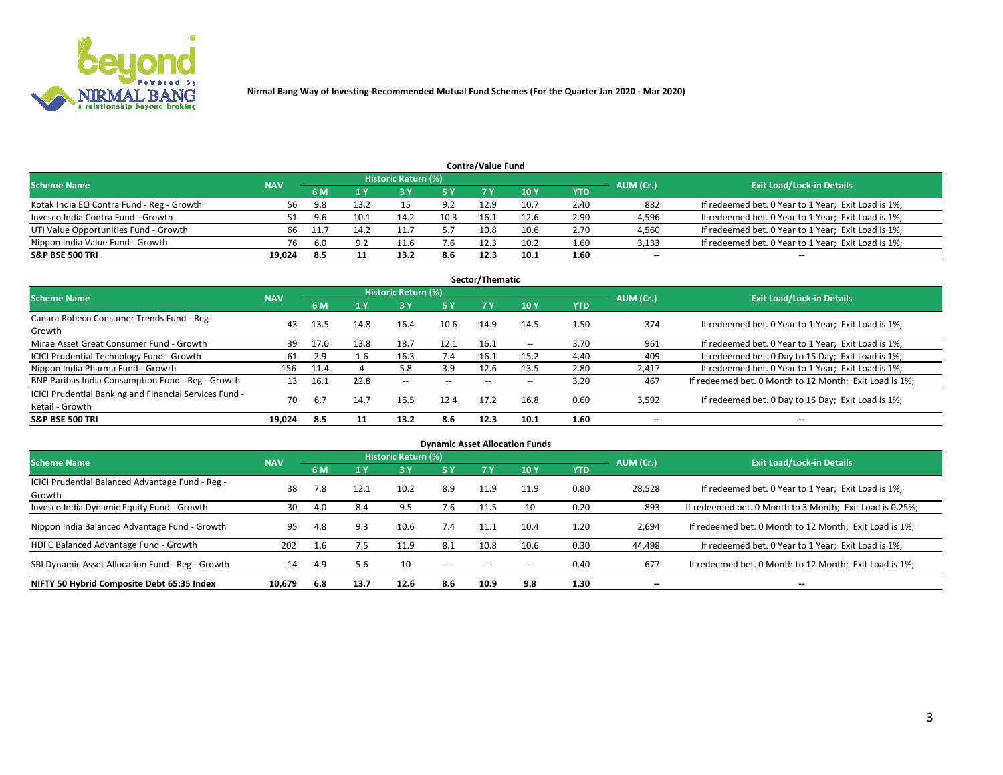

| <b>Contra/Value Fund</b>                  |            |           |                                  |      |      |      |      |      |        |                                                     |  |  |  |  |
|-------------------------------------------|------------|-----------|----------------------------------|------|------|------|------|------|--------|-----------------------------------------------------|--|--|--|--|
| <b>Scheme Name</b>                        | <b>NAV</b> | AUM (Cr.) | <b>Exit Load/Lock-in Details</b> |      |      |      |      |      |        |                                                     |  |  |  |  |
|                                           |            | 6 M       |                                  |      | 5 Y  | 7 V  | 10Y  | YTD  |        |                                                     |  |  |  |  |
| Kotak India EQ Contra Fund - Reg - Growth | 56         | 9.8       | 13.2                             |      | 9.2  | 12.9 | 10.7 | 2.40 | 882    | If redeemed bet. 0 Year to 1 Year; Exit Load is 1%; |  |  |  |  |
| Invesco India Contra Fund - Growth        | 51         | 9.6       | 10.1                             | 14.2 | 10.3 | 16.1 | 12.6 | 2.90 | 4,596  | If redeemed bet. 0 Year to 1 Year; Exit Load is 1%; |  |  |  |  |
| UTI Value Opportunities Fund - Growth     | 66         |           | 14.2                             |      |      | 10.8 | 10.6 | 2.70 | 4,560  | If redeemed bet. 0 Year to 1 Year; Exit Load is 1%; |  |  |  |  |
| Nippon India Value Fund - Growth          | 76         | -6.0      |                                  | 11.6 | 7.6  | 12.3 | 10.2 | 1.60 | 3,133  | If redeemed bet. 0 Year to 1 Year; Exit Load is 1%; |  |  |  |  |
| <b>S&amp;P BSE 500 TRI</b>                | 19,024     | 8.5       |                                  | 13.2 | 8.6  | 12.3 | 10.1 | 1.60 | $\sim$ | $- -$                                               |  |  |  |  |

| Sector/Thematic                                                           |            |      |      |                     |           |       |                          |            |                          |                                                        |  |  |  |
|---------------------------------------------------------------------------|------------|------|------|---------------------|-----------|-------|--------------------------|------------|--------------------------|--------------------------------------------------------|--|--|--|
| <b>Scheme Name</b>                                                        | <b>NAV</b> |      |      | Historic Return (%) |           |       |                          |            | AUM (Cr.)                | <b>Exit Load/Lock-in Details</b>                       |  |  |  |
|                                                                           |            | 6 M  | 1 Y  | 73 Y                | <b>5Y</b> | 7 Y   | 10Y                      | <b>YTD</b> |                          |                                                        |  |  |  |
| Canara Robeco Consumer Trends Fund - Reg -<br>Growth                      | 43         | 13.5 | 14.8 | 16.4                | 10.6      | 14.9  | 14.5                     | 1.50       | 374                      | If redeemed bet. 0 Year to 1 Year; Exit Load is 1%;    |  |  |  |
| Mirae Asset Great Consumer Fund - Growth                                  | 39         | 17.0 | 13.8 | 18.7                | 12.1      | 16.1  | $\overline{\phantom{a}}$ | 3.70       | 961                      | If redeemed bet. 0 Year to 1 Year; Exit Load is 1%;    |  |  |  |
| ICICI Prudential Technology Fund - Growth                                 | 61         | 2.9  | 1.6  | 16.3                | 7.4       | 16.1  | 15.2                     | 4.40       | 409                      | If redeemed bet. 0 Day to 15 Day; Exit Load is 1%;     |  |  |  |
| Nippon India Pharma Fund - Growth                                         | 156        | 11.4 |      | 5.8                 | 3.9       | 12.6  | 13.5                     | 2.80       | 2,417                    | If redeemed bet. 0 Year to 1 Year; Exit Load is 1%;    |  |  |  |
| BNP Paribas India Consumption Fund - Reg - Growth                         | 13         | 16.1 | 22.8 | $- -$               | $- -$     | $- -$ | $- -$                    | 3.20       | 467                      | If redeemed bet. 0 Month to 12 Month; Exit Load is 1%; |  |  |  |
| ICICI Prudential Banking and Financial Services Fund -<br>Retail - Growth | 70         | 6.7  | 14.7 | 16.5                | 12.4      | 17.2  | 16.8                     | 0.60       | 3,592                    | If redeemed bet. 0 Day to 15 Day; Exit Load is 1%;     |  |  |  |
| <b>S&amp;P BSE 500 TRI</b>                                                | 19.024     | 8.5  |      | 13.2                | 8.6       | 12.3  | 10.1                     | 1.60       | $\overline{\phantom{a}}$ | $- -$                                                  |  |  |  |

| <b>Dynamic Asset Allocation Funds</b>                      |            |     |      |                     |        |      |                 |            |                          |                                                          |  |  |  |
|------------------------------------------------------------|------------|-----|------|---------------------|--------|------|-----------------|------------|--------------------------|----------------------------------------------------------|--|--|--|
| <b>Scheme Name</b>                                         | <b>NAV</b> |     |      | Historic Return (%) |        |      |                 |            | AUM (Cr.)                | <b>Exit Load/Lock-in Details</b>                         |  |  |  |
|                                                            |            | 6 M |      | 3 <sup>1</sup>      | 5 Y    | 7 Y  | 10 <sub>Y</sub> | <b>YTD</b> |                          |                                                          |  |  |  |
| ICICI Prudential Balanced Advantage Fund - Reg -<br>Growth | 38         | 7.8 | 12.1 | 10.2                | 8.9    | 11.9 | 11.9            | 0.80       | 28,528                   | If redeemed bet. 0 Year to 1 Year; Exit Load is 1%;      |  |  |  |
| Invesco India Dynamic Equity Fund - Growth                 | 30         | 4.0 | 8.4  | 9.5                 | 7.6    | 11.5 | 10              | 0.20       | 893                      | If redeemed bet. 0 Month to 3 Month; Exit Load is 0.25%; |  |  |  |
| Nippon India Balanced Advantage Fund - Growth              | 95         | 4.8 | 9.3  | 10.6                | 7.4    | 11.1 | 10.4            | 1.20       | 2,694                    | If redeemed bet. 0 Month to 12 Month; Exit Load is 1%;   |  |  |  |
| HDFC Balanced Advantage Fund - Growth                      | 202        | 1.6 | 7.5  | 11.9                | 8.1    | 10.8 | 10.6            | 0.30       | 44,498                   | If redeemed bet. 0 Year to 1 Year; Exit Load is 1%;      |  |  |  |
| SBI Dynamic Asset Allocation Fund - Reg - Growth           | 14         | 4.9 | 5.6  | 10                  | $\sim$ | --   | --              | 0.40       | 677                      | If redeemed bet. 0 Month to 12 Month; Exit Load is 1%;   |  |  |  |
| NIFTY 50 Hybrid Composite Debt 65:35 Index                 | 10,679     | 6.8 | 13.7 | 12.6                | 8.6    | 10.9 | 9.8             | 1.30       | $\overline{\phantom{a}}$ | $- -$                                                    |  |  |  |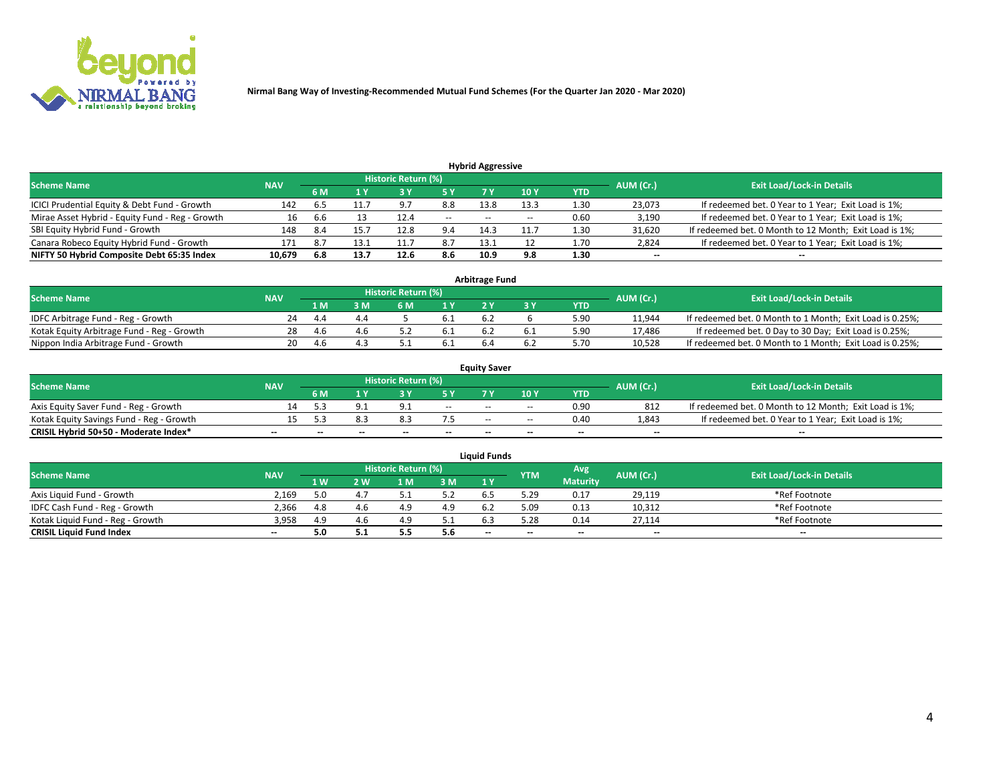

|                                                 |            |     |      |                     |       | <b>Hybrid Aggressive</b> |                 |      |                          |                                                        |
|-------------------------------------------------|------------|-----|------|---------------------|-------|--------------------------|-----------------|------|--------------------------|--------------------------------------------------------|
| <b>Scheme Name</b>                              | <b>NAV</b> |     |      | Historic Return (%) |       |                          |                 |      | AUM (Cr.)                | <b>Exit Load/Lock-in Details</b>                       |
|                                                 |            | 6 M |      |                     | 5 Y   | 7 Y                      | 10 <sub>Y</sub> | YTD  |                          |                                                        |
| ICICI Prudential Equity & Debt Fund - Growth    | 142        |     |      | 9.7                 | 8.8   | 13.8                     | 13.3            | 1.30 | 23,073                   | If redeemed bet. 0 Year to 1 Year; Exit Load is 1%;    |
| Mirae Asset Hybrid - Equity Fund - Reg - Growth | 16         | .6b |      | 12.4                | $- -$ | $- -$                    | --              | 0.60 | 3,190                    | If redeemed bet. 0 Year to 1 Year; Exit Load is 1%;    |
| SBI Equity Hybrid Fund - Growth                 | 148        | 8.4 |      | 12.8                | 9.4   | 14.3                     | 11.7            | 1.30 | 31,620                   | If redeemed bet. 0 Month to 12 Month; Exit Load is 1%; |
| Canara Robeco Equity Hybrid Fund - Growth       | 171        | 8.7 | 13.1 | 11.                 | 8.7   | 13.1                     |                 | 1.70 | 2,824                    | If redeemed bet. 0 Year to 1 Year; Exit Load is 1%;    |
| NIFTY 50 Hybrid Composite Debt 65:35 Index      | 10,679     | 6.8 | 13.7 | 12.6                | 8.6   | 10.9                     | 9.8             | 1.30 | $\overline{\phantom{a}}$ | $- -$                                                  |

|                                            |            |     |     |                            |      | <b>Arbitrage Fund</b> |      |           |                                                          |
|--------------------------------------------|------------|-----|-----|----------------------------|------|-----------------------|------|-----------|----------------------------------------------------------|
| Scheme Name                                | <b>NAV</b> |     |     | <b>Historic Return (%)</b> |      |                       |      | AUM (Cr.) | <b>Exit Load/Lock-in Details</b>                         |
|                                            |            | 1 M | ያ M | 6 M                        |      |                       | YTD  |           |                                                          |
| IDFC Arbitrage Fund - Reg - Growth         | 24         | 4.4 |     |                            |      | 6.4                   | 5.90 | 11,944    | If redeemed bet. 0 Month to 1 Month; Exit Load is 0.25%; |
| Kotak Equity Arbitrage Fund - Reg - Growth | 28         | 4.6 |     |                            | -6.1 |                       | 5.90 | 17,486    | If redeemed bet. 0 Day to 30 Day; Exit Load is 0.25%;    |
| Nippon India Arbitrage Fund - Growth       | 20         | 4.b |     |                            |      |                       | .70  | 10.528    | If redeemed bet. 0 Month to 1 Month; Exit Load is 0.25%; |

|                                          |            |     |     |                            |                          | <b>Equity Saver</b> |        |            |                          |                                                        |
|------------------------------------------|------------|-----|-----|----------------------------|--------------------------|---------------------|--------|------------|--------------------------|--------------------------------------------------------|
| Scheme Name                              | <b>NAV</b> |     |     | <b>Historic Return (%)</b> |                          |                     |        |            | AUM (Cr.)                | <b>Exit Load/Lock-in Details</b>                       |
|                                          |            | 6 M |     |                            |                          |                     | 10 Y   | <b>YTD</b> |                          |                                                        |
| Axis Equity Saver Fund - Reg - Growth    |            |     |     |                            | $\sim$                   | $- -$               | $\sim$ | 0.90       | 812                      | If redeemed bet. 0 Month to 12 Month; Exit Load is 1%; |
| Kotak Equity Savings Fund - Reg - Growth |            |     |     | Õ.J                        |                          | $- -$               | $- -$  | 0.40       | 1,843                    | If redeemed bet. 0 Year to 1 Year; Exit Load is 1%;    |
| CRISIL Hybrid 50+50 - Moderate Index*    |            | --  | $-$ | $\overline{\phantom{a}}$   | $\overline{\phantom{a}}$ | $\sim$              | --     | $\sim$     | $\overline{\phantom{a}}$ | $-$                                                    |

| <b>Liquid Funds</b>              |            |      |     |                            |       |                                                |            |                 |                          |                                  |  |  |  |  |
|----------------------------------|------------|------|-----|----------------------------|-------|------------------------------------------------|------------|-----------------|--------------------------|----------------------------------|--|--|--|--|
| Scheme Name                      | <b>NAV</b> |      |     | <b>Historic Return (%)</b> |       |                                                | <b>YTM</b> | Avg             | AUM (Cr.)                | <b>Exit Load/Lock-in Details</b> |  |  |  |  |
|                                  |            | 1 W. | ว พ | 1 M                        | 3M    | 1 <sup>Y</sup>                                 |            | <b>Maturity</b> |                          |                                  |  |  |  |  |
| Axis Liquid Fund - Growth        | 2.169      |      |     |                            | 5.2   |                                                | 29.د       | 0.17            | 29,119                   | *Ref Footnote                    |  |  |  |  |
| IDFC Cash Fund - Reg - Growth    | 2.366      | 4.8  |     |                            | 4.9   |                                                | 5.09       | 0.13            | 10,312                   | *Ref Footnote                    |  |  |  |  |
| Kotak Liquid Fund - Reg - Growth | 3,958      | 4.9  |     | 4.9                        | ے . ب |                                                | 28،        | 0.14            | 27,114                   | *Ref Footnote                    |  |  |  |  |
| <b>CRISIL Liquid Fund Index</b>  | $\sim$     | 5.0  |     | 5.5                        | 5.6   | $\hspace{0.1mm}-\hspace{0.1mm}-\hspace{0.1mm}$ | --         | $\sim$          | $\overline{\phantom{a}}$ | $\sim$                           |  |  |  |  |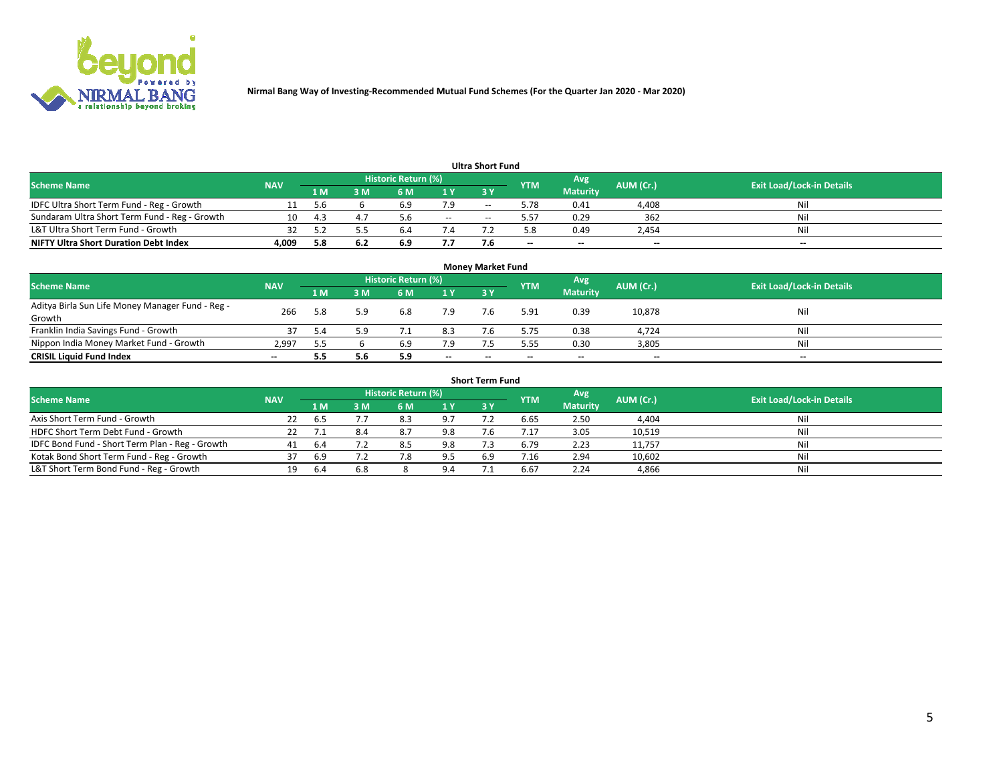

|                                               |            |      |     |                     |        | <b>Ultra Short Fund</b> |            |                 |           |                                  |
|-----------------------------------------------|------------|------|-----|---------------------|--------|-------------------------|------------|-----------------|-----------|----------------------------------|
| <b>Scheme Name</b>                            | <b>NAV</b> |      |     | Historic Return (%) |        |                         | <b>YTM</b> | Avg             | AUM (Cr.) | <b>Exit Load/Lock-in Details</b> |
|                                               |            | 1 M' | 3 M | 6 M                 | 1 Y    | 3 Y                     |            | <b>Maturity</b> |           |                                  |
| IDFC Ultra Short Term Fund - Reg - Growth     |            | -5.6 |     | b.Y                 |        | $-$                     | 5.78       | 0.41            | 4,408     | Nil                              |
| Sundaram Ultra Short Term Fund - Reg - Growth |            |      |     |                     | $\sim$ | --                      | 5.57       | 0.29            | 362       | Nil                              |
| L&T Ultra Short Term Fund - Growth            |            |      |     | b.                  |        |                         |            | 0.49            | 2,454     | Nil                              |
| <b>NIFTY Ultra Short Duration Debt Index</b>  | 4,009      | 5.8  | 6.2 | 6.9                 | 7.7    |                         | --         | $-$             | $- -$     | $- -$                            |

| <b>Money Market Fund</b>                         |            |     |     |                     |        |     |            |                 |           |                                  |  |  |  |
|--------------------------------------------------|------------|-----|-----|---------------------|--------|-----|------------|-----------------|-----------|----------------------------------|--|--|--|
| <b>Scheme Name</b>                               | <b>NAV</b> |     |     | Historic Return (%) |        |     | <b>YTM</b> | 'Avg            | AUM (Cr.) | <b>Exit Load/Lock-in Details</b> |  |  |  |
|                                                  |            | 1 M | 3 M | 6 M                 | 1 Y    | 3Y  |            | <b>Maturity</b> |           |                                  |  |  |  |
| Aditya Birla Sun Life Money Manager Fund - Reg - | 266        | 5.8 | 5.9 | 6.8                 | 7.9    | 7.6 | 5.91       | 0.39            | 10,878    | Nil                              |  |  |  |
| Growth                                           |            |     |     |                     |        |     |            |                 |           |                                  |  |  |  |
| Franklin India Savings Fund - Growth             |            | 5.4 | 5.9 |                     | 8.3    |     | 5.75       | 0.38            | 4,724     | Nil                              |  |  |  |
| Nippon India Money Market Fund - Growth          | 2.997      |     |     | 6.9                 | 7.9    |     | 5.55       | 0.30            | 3,805     | Nil                              |  |  |  |
| <b>CRISIL Liquid Fund Index</b>                  | $- -$      |     | 5.6 | 5.9                 | $\sim$ | --  | --         | $\sim$          | $\sim$    | $\sim$                           |  |  |  |

| <b>Short Term Fund</b>                          |            |      |     |                     |     |           |            |                 |           |                                  |  |  |  |  |
|-------------------------------------------------|------------|------|-----|---------------------|-----|-----------|------------|-----------------|-----------|----------------------------------|--|--|--|--|
| <b>Scheme Name</b>                              | <b>NAV</b> |      |     | Historic Return (%) |     |           | <b>YTM</b> | Avg             | AUM (Cr.) | <b>Exit Load/Lock-in Details</b> |  |  |  |  |
|                                                 |            | 1 M  | 3 M | 6 M                 | 1Y  | <b>3Y</b> |            | <b>Maturity</b> |           |                                  |  |  |  |  |
| Axis Short Term Fund - Growth                   | 22         | 6.5  |     | 8.3                 | 9.7 |           | 6.65       | 2.50            | 4,404     | Nil                              |  |  |  |  |
| HDFC Short Term Debt Fund - Growth              |            |      | 8.4 | 8.7                 | 9.8 |           |            | 3.05            | 10,519    | Nil                              |  |  |  |  |
| IDFC Bond Fund - Short Term Plan - Reg - Growth | 41         |      |     | 8.5                 | 9.8 |           | 6.79       | 2.23            | 11,757    | Nil                              |  |  |  |  |
| Kotak Bond Short Term Fund - Reg - Growth       |            | 6.9  |     |                     | 9.5 | 6.9       | /0.16      | 2.94            | 10,602    | Nil                              |  |  |  |  |
| L&T Short Term Bond Fund - Reg - Growth         |            | -6.4 | 6.8 |                     |     |           | 6.67       | 2.24            | 4,866     | Nil                              |  |  |  |  |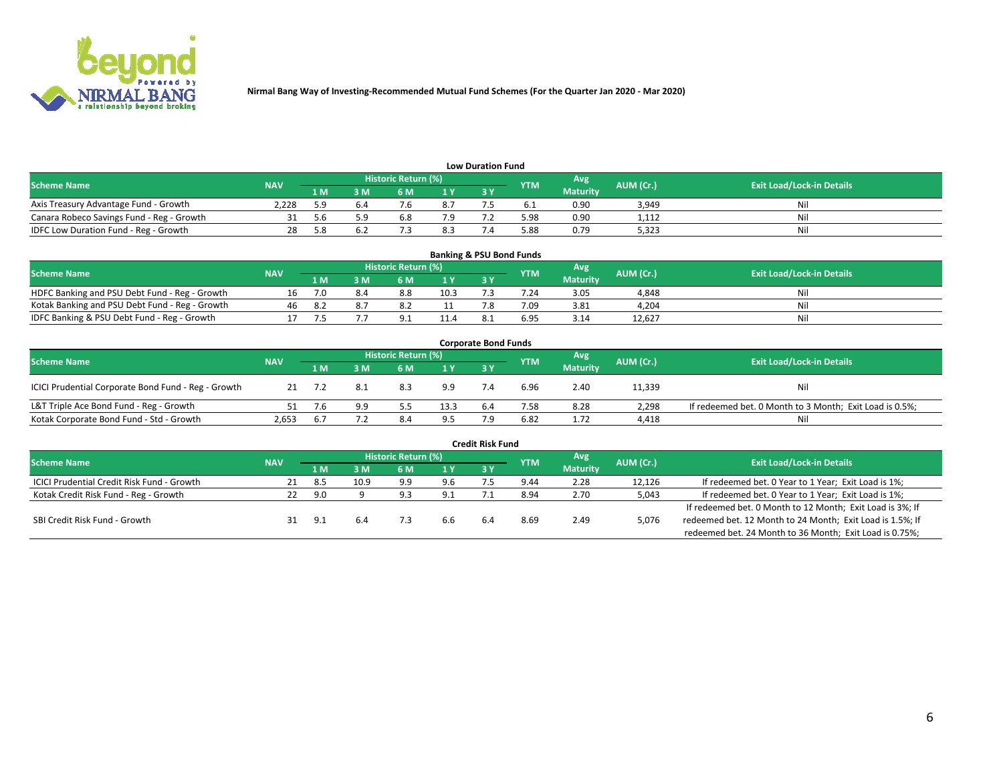

| <b>Low Duration Fund</b>                  |            |      |      |                            |     |  |            |                 |           |                                  |  |  |  |  |
|-------------------------------------------|------------|------|------|----------------------------|-----|--|------------|-----------------|-----------|----------------------------------|--|--|--|--|
| <b>Scheme Name</b>                        | <b>NAV</b> |      |      | <b>Historic Return (%)</b> |     |  | <b>YTM</b> | Avg             | AUM (Cr.) | <b>Exit Load/Lock-in Details</b> |  |  |  |  |
|                                           |            | 1 M  | ያ M  | 5 M                        | 1 V |  |            | <b>Maturity</b> |           |                                  |  |  |  |  |
| Axis Treasury Advantage Fund - Growth     | 2.228      |      |      |                            | 8.7 |  |            | 0.90            | 3,949     | Nil                              |  |  |  |  |
| Canara Robeco Savings Fund - Reg - Growth |            | .5.b | г. α | b.8                        | 7.9 |  | 5.98       | 0.90            | 1,112     | Nil                              |  |  |  |  |
| IDFC Low Duration Fund - Reg - Growth     |            |      |      |                            | 8.3 |  | 5.88       | 0.79            | 5,323     | Nil                              |  |  |  |  |

| <b>Banking &amp; PSU Bond Funds</b>            |            |      |    |                            |                |           |            |                 |           |                                  |  |  |  |
|------------------------------------------------|------------|------|----|----------------------------|----------------|-----------|------------|-----------------|-----------|----------------------------------|--|--|--|
| <b>Scheme Name</b>                             | <b>NAV</b> |      |    | <b>Historic Return (%)</b> |                |           | <b>YTM</b> | Avg             | AUM (Cr.) | <b>Exit Load/Lock-in Details</b> |  |  |  |
|                                                |            | 1 M  | sм | 6 M                        | 1 <sub>Y</sub> | <b>3Y</b> |            | <b>Maturity</b> |           |                                  |  |  |  |
| HDFC Banking and PSU Debt Fund - Reg - Growth  |            | 7.0  |    | 8.8                        | 10.3           |           | 7.24       | 3.05            | 4,848     | Ni                               |  |  |  |
| Kotak Banking and PSU Debt Fund - Reg - Growth | 46         | -8.2 |    |                            |                |           | 7.09       | 3.81            | 4,204     | Ni                               |  |  |  |
| IDFC Banking & PSU Debt Fund - Reg - Growth    |            |      |    |                            | 11.4           |           | 6.95       | 3.14            | 12.627    | Ni                               |  |  |  |

| <b>Corporate Bond Funds</b>                         |            |             |     |                     |      |            |            |                 |           |                                                         |  |  |  |  |
|-----------------------------------------------------|------------|-------------|-----|---------------------|------|------------|------------|-----------------|-----------|---------------------------------------------------------|--|--|--|--|
| <b>Scheme Name</b>                                  | <b>NAV</b> |             |     | Historic Return (%) |      |            | <b>YTM</b> | Avg             | AUM (Cr.) | <b>Exit Load/Lock-in Details</b>                        |  |  |  |  |
|                                                     |            | 1 M         | 8 M | 6 M                 | 1 Y  | <b>3 Y</b> |            | <b>Maturity</b> |           |                                                         |  |  |  |  |
| ICICI Prudential Corporate Bond Fund - Reg - Growth |            |             | 8.1 | 8.3                 | 9.9  |            | 6.96       | 2.40            | 11,339    | Nil                                                     |  |  |  |  |
| L&T Triple Ace Bond Fund - Reg - Growth             |            |             | 9.9 |                     | 13.3 | 6.4        | 7.58       | 8.28            | 2,298     | If redeemed bet. 0 Month to 3 Month; Exit Load is 0.5%; |  |  |  |  |
| Kotak Corporate Bond Fund - Std - Growth            | 2,653      | $b_{\cdot}$ |     | 8.4                 | 9.5  |            | 6.82       | 1.72            | 4,418     | Nil                                                     |  |  |  |  |

|                                                   |            |      |      |                            |     | <b>Credit Risk Fund</b> |            |                 |           |                                                           |
|---------------------------------------------------|------------|------|------|----------------------------|-----|-------------------------|------------|-----------------|-----------|-----------------------------------------------------------|
| <b>Scheme Name</b>                                | <b>NAV</b> |      |      | <b>Historic Return (%)</b> |     |                         | <b>YTM</b> | 'Avg            | AUM (Cr.) | <b>Exit Load/Lock-in Details</b>                          |
|                                                   |            | 1 M  | 3 M  | 6 M                        | 1 Y | 3Y                      |            | <b>Maturity</b> |           |                                                           |
| <b>ICICI Prudential Credit Risk Fund - Growth</b> |            | 8.5  | 10.9 | 9.9                        | 9.6 |                         | 9.44       | 2.28            | 12,126    | If redeemed bet. 0 Year to 1 Year; Exit Load is 1%;       |
| Kotak Credit Risk Fund - Reg - Growth             |            | 9.O  |      | د ۵                        | 9.1 |                         | 8.94       | 2.70            | 5,043     | If redeemed bet. 0 Year to 1 Year; Exit Load is 1%;       |
|                                                   |            |      |      |                            |     |                         |            |                 |           | If redeemed bet. 0 Month to 12 Month; Exit Load is 3%; If |
| SBI Credit Risk Fund - Growth                     |            | ∙ ٍQ | 6.4  |                            | 6.6 |                         | 8.69       | 2.49            | 5,076     | redeemed bet. 12 Month to 24 Month; Exit Load is 1.5%; If |
|                                                   |            |      |      |                            |     |                         |            |                 |           | redeemed bet. 24 Month to 36 Month; Exit Load is 0.75%;   |